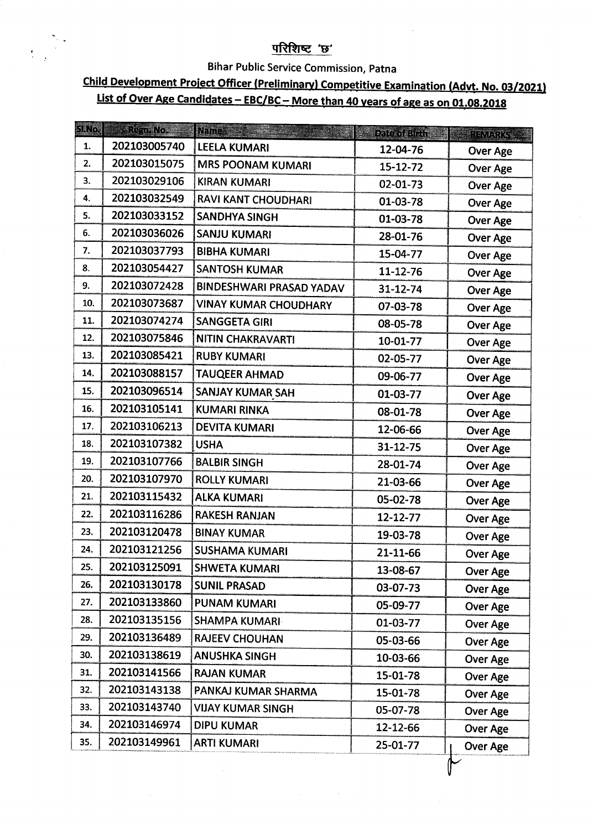# परिशिष्ट 'छ'

y.<br>R

## **Bihar Public Service Commission, Patna**

# Child Development Project Officer (Preliminary) Competitive Examination (Advt. No. 03/2021) List of Over Age Candidates - EBC/BC - More than 40 years of age as on 01.08.2018

| <b>SINGE</b> | Regal No.    | <b>Name</b>                     | क्राट की नामन  | <b>HEVERICS</b> |
|--------------|--------------|---------------------------------|----------------|-----------------|
| 1.           | 202103005740 | <b>LEELA KUMARI</b>             | 12-04-76       | <b>Over Age</b> |
| 2.           | 202103015075 | <b>MRS POONAM KUMARI</b>        | 15-12-72       | Over Age        |
| 3.           | 202103029106 | <b>KIRAN KUMARI</b>             | 02-01-73       | Over Age        |
| 4.           | 202103032549 | <b>RAVI KANT CHOUDHARI</b>      | 01-03-78       | Over Age        |
| 5.           | 202103033152 | <b>SANDHYA SINGH</b>            | 01-03-78       | <b>Over Age</b> |
| 6.           | 202103036026 | <b>SANJU KUMARI</b>             | 28-01-76       | <b>Over Age</b> |
| 7.           | 202103037793 | <b>BIBHA KUMARI</b>             | 15-04-77       | Over Age        |
| 8.           | 202103054427 | <b>SANTOSH KUMAR</b>            | 11-12-76       | Over Age        |
| 9.           | 202103072428 | <b>BINDESHWARI PRASAD YADAV</b> | $31 - 12 - 74$ | <b>Over Age</b> |
| 10.          | 202103073687 | <b>VINAY KUMAR CHOUDHARY</b>    | 07-03-78       | <b>Over Age</b> |
| 11.          | 202103074274 | <b>SANGGETA GIRI</b>            | 08-05-78       | Over Age        |
| 12.          | 202103075846 | <b>NITIN CHAKRAVARTI</b>        | 10-01-77       | Over Age        |
| 13.          | 202103085421 | <b>RUBY KUMARI</b>              | 02-05-77       | Over Age        |
| 14.          | 202103088157 | <b>TAUQEER AHMAD</b>            | 09-06-77       | <b>Over Age</b> |
| 15.          | 202103096514 | <b>SANJAY KUMAR SAH</b>         | 01-03-77       | <b>Over Age</b> |
| 16.          | 202103105141 | <b>KUMARI RINKA</b>             | 08-01-78       | <b>Over Age</b> |
| 17.          | 202103106213 | <b>DEVITA KUMARI</b>            | 12-06-66       | Over Age        |
| 18.          | 202103107382 | <b>USHA</b>                     | 31-12-75       | Over Age        |
| 19.          | 202103107766 | <b>BALBIR SINGH</b>             | 28-01-74       | Over Age        |
| 20.          | 202103107970 | <b>ROLLY KUMARI</b>             | 21-03-66       | <b>Over Age</b> |
| 21.          | 202103115432 | <b>ALKA KUMARI</b>              | 05-02-78       | <b>Over Age</b> |
| 22.          | 202103116286 | <b>RAKESH RANJAN</b>            | 12-12-77       | Over Age        |
| 23.          | 202103120478 | <b>BINAY KUMAR</b>              | 19-03-78       | Over Age        |
| 24.          | 202103121256 | <b>SUSHAMA KUMARI</b>           | 21-11-66       | <b>Over Age</b> |
| 25.          | 202103125091 | <b>SHWETA KUMARI</b>            | 13-08-67       | <b>Over Age</b> |
| 26.          | 202103130178 | <b>SUNIL PRASAD</b>             | 03-07-73       | Over Age        |
| 27.          | 202103133860 | <b>PUNAM KUMARI</b>             | 05-09-77       | Over Age        |
| 28.          | 202103135156 | <b>SHAMPA KUMARI</b>            | 01-03-77       | <b>Over Age</b> |
| 29.          | 202103136489 | <b>RAJEEV CHOUHAN</b>           | 05-03-66       | Over Age        |
| 30.          | 202103138619 | <b>ANUSHKA SINGH</b>            | 10-03-66       | Over Age        |
| 31.          | 202103141566 | <b>RAJAN KUMAR</b>              | 15-01-78       | Over Age        |
| 32.          | 202103143138 | PANKAJ KUMAR SHARMA             | 15-01-78       | Over Age        |
| 33.          | 202103143740 | <b>VIJAY KUMAR SINGH</b>        | 05-07-78       | Over Age        |
| 34.          | 202103146974 | <b>DIPU KUMAR</b>               | 12-12-66       | Over Age        |
| 35.          | 202103149961 | <b>ARTI KUMARI</b>              | 25-01-77       | Over Age        |

 $\mathbb{M}$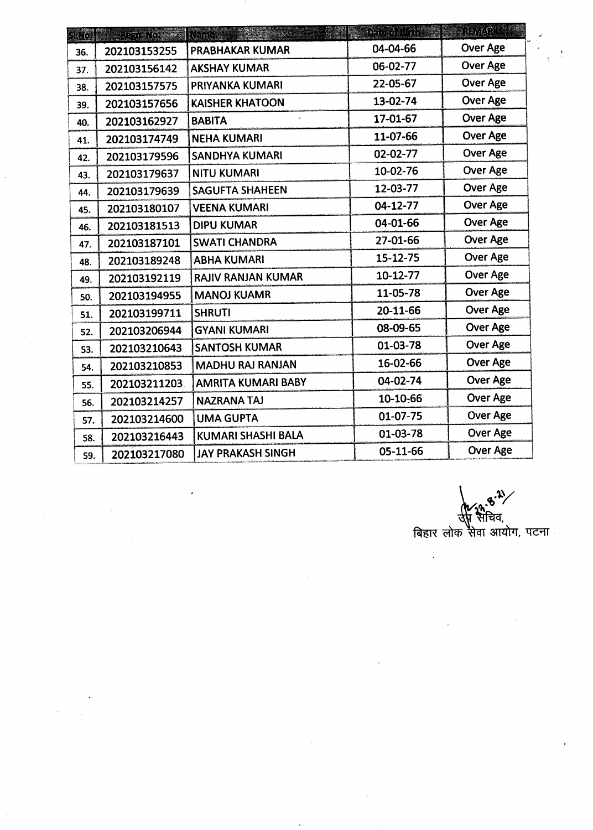| 51. 61 | $1076$ No. $\sim 20$ | <b>NGG 2</b>              | inter omt      | Raymac          |
|--------|----------------------|---------------------------|----------------|-----------------|
| 36.    | 202103153255         | <b>PRABHAKAR KUMAR</b>    | 04-04-66       | <b>Over Age</b> |
| 37.    | 202103156142         | <b>AKSHAY KUMAR</b>       | 06-02-77       | Over Age        |
| 38.    | 202103157575         | PRIYANKA KUMARI           | 22-05-67       | Over Age        |
| 39.    | 202103157656         | <b>KAISHER KHATOON</b>    | 13-02-74       | <b>Over Age</b> |
| 40.    | 202103162927         | <b>BABITA</b>             | 17-01-67       | <b>Over Age</b> |
| 41.    | 202103174749         | <b>NEHA KUMARI</b>        | 11-07-66       | <b>Over Age</b> |
| 42.    | 202103179596         | <b>SANDHYA KUMARI</b>     | 02-02-77       | Over Age        |
| 43.    | 202103179637         | <b>NITU KUMARI</b>        | 10-02-76       | Over Age        |
| 44.    | 202103179639         | <b>SAGUFTA SHAHEEN</b>    | $12 - 03 - 77$ | Over Age        |
| 45.    | 202103180107         | <b>VEENA KUMARI</b>       | 04-12-77       | <b>Over Age</b> |
| 46.    | 202103181513         | <b>DIPU KUMAR</b>         | 04-01-66       | Over Age        |
| 47.    | 202103187101         | <b>SWATI CHANDRA</b>      | 27-01-66       | Over Age        |
| 48.    | 202103189248         | <b>ABHA KUMARI</b>        | 15-12-75       | Over Age        |
| 49.    | 202103192119         | RAJIV RANJAN KUMAR        | 10-12-77       | Over Age        |
| 50.    | 202103194955         | <b>MANOJ KUAMR</b>        | 11-05-78       | <b>Over Age</b> |
| 51.    | 202103199711         | <b>SHRUTI</b>             | 20-11-66       | <b>Over Age</b> |
| 52.    | 202103206944         | <b>GYANI KUMARI</b>       | 08-09-65       | <b>Over Age</b> |
| 53.    | 202103210643         | <b>SANTOSH KUMAR</b>      | 01-03-78       | Over Age        |
| 54.    | 202103210853         | <b>MADHU RAJ RANJAN</b>   | 16-02-66       | <b>Over Age</b> |
| 55.    | 202103211203         | <b>AMRITA KUMARI BABY</b> | 04-02-74       | <b>Over Age</b> |
| 56.    | 202103214257         | <b>NAZRANA TAJ</b>        | 10-10-66       | Over Age        |
| 57.    | 202103214600         | <b>UMA GUPTA</b>          | 01-07-75       | <b>Over Age</b> |
| 58.    | 202103216443         | KUMARI SHASHI BALA        | 01-03-78       | Over Age        |
| 59.    | 202103217080         | <b>JAY PRAKASH SINGH</b>  | 05-11-66       | <b>Over Age</b> |

 $\ddot{\phantom{0}}$ 

**| 123.8.2)**<br>तीर सचिव, बिहार लोक सेवा आयोग, पटना

 $\overline{a}$ 

 $\frac{3}{2}$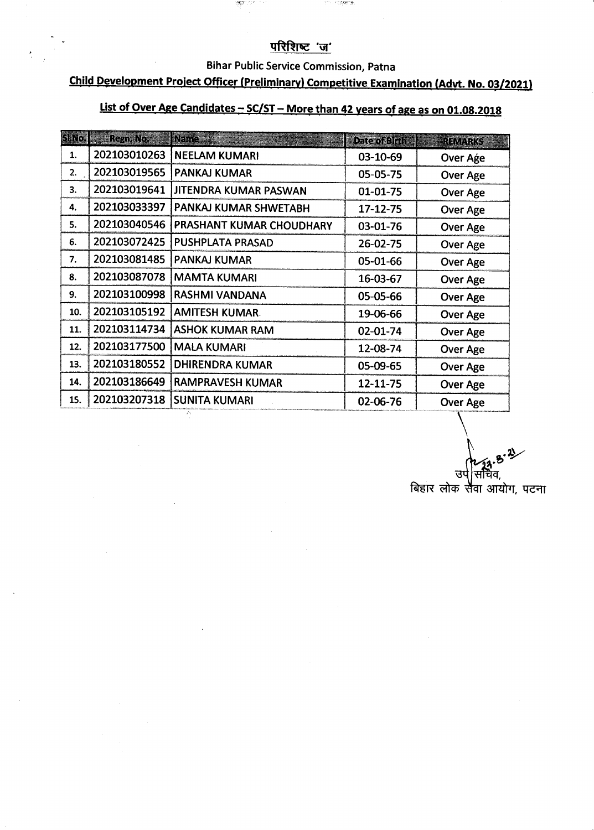#### परिशिष्ट 'ज'

्यम् 1221

**Bihar Public Service Commission, Patna** 

**Larry Lindage 19** 

# Child Development Project Officer (Preliminary) Competitive Examination (Adyt. No. 03/2021)

# List of Over Age Candidates - SC/ST - More than 42 years of age as on 01.08.2018

| <b>SINO</b> | Regn. No.    | <b>Name</b>              | Date of Birth  | REMARKS         |
|-------------|--------------|--------------------------|----------------|-----------------|
| 1.          | 202103010263 | <b>NEELAM KUMARI</b>     | 03-10-69       | Over Age        |
| 2.          | 202103019565 | <b>PANKAJ KUMAR</b>      | 05-05-75       | Over Age        |
| 3.          | 202103019641 | JITENDRA KUMAR PASWAN    | $01 - 01 - 75$ | Over Age        |
| 4.          | 202103033397 | PANKAJ KUMAR SHWETABH    | 17-12-75       | Over Age        |
| 5.          | 202103040546 | PRASHANT KUMAR CHOUDHARY | 03-01-76       | Over Age        |
| 6.          | 202103072425 | PUSHPLATA PRASAD         | 26-02-75       | Over Age        |
| 7.          | 202103081485 | <b>PANKAJ KUMAR</b>      | 05-01-66       | Over Age        |
| 8.          | 202103087078 | <b>MAMTA KUMARI</b>      | 16-03-67       | Over Age        |
| 9.          | 202103100998 | <b>RASHMI VANDANA</b>    | 05-05-66       | <b>Over Age</b> |
| 10.         | 202103105192 | <b>AMITESH KUMAR.</b>    | 19-06-66       | <b>Over Age</b> |
| 11.         | 202103114734 | <b>ASHOK KUMAR RAM</b>   | 02-01-74       | Over Age        |
| 12.         | 202103177500 | <b>MALA KUMARI</b>       | 12-08-74       | Over Age        |
| 13.         | 202103180552 | <b>DHIRENDRA KUMAR</b>   | 05-09-65       | Over Age        |
| 14.         | 202103186649 | RAMPRAVESH KUMAR         | 12-11-75       | Over Age        |
| 15.         | 202103207318 | <b>SUNITA KUMARI</b>     | 02-06-76       | <b>Over Age</b> |

बिहार लोक सैवा आयोग, पटना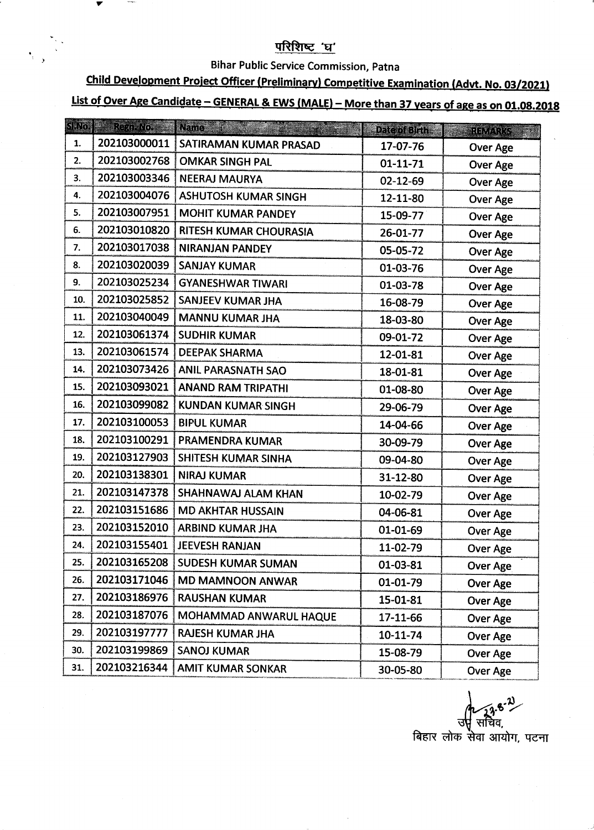### परिशिष्ट 'घ'

**The State** 

## **Bihar Public Service Commission, Patna**

Child Development Project Officer (Preliminary) Competitive Examination (Advt. No. 03/2021)

List of Over Age Candidate - GENERAL & EWS (MALE) - More than 37 years of age as on 01.08.2018

| <b>REVOX</b> | Rein No.     | Name and the state of the state of the | Date of Birth - | <b>REMARKS</b>  |
|--------------|--------------|----------------------------------------|-----------------|-----------------|
| 1.           | 202103000011 | SATIRAMAN KUMAR PRASAD                 | 17-07-76        | <b>Over Age</b> |
| 2.           | 202103002768 | <b>OMKAR SINGH PAL</b>                 | $01 - 11 - 71$  | Over Age        |
| 3.           | 202103003346 | <b>NEERAJ MAURYA</b>                   | 02-12-69        | Over Age        |
| 4.           | 202103004076 | <b>ASHUTOSH KUMAR SINGH</b>            | 12-11-80        | Over Age        |
| 5.           | 202103007951 | <b>MOHIT KUMAR PANDEY</b>              | 15-09-77        | <b>Over Age</b> |
| 6.           | 202103010820 | RITESH KUMAR CHOURASIA                 | 26-01-77        | Over Age        |
| 7.           | 202103017038 | <b>NIRANJAN PANDEY</b>                 | 05-05-72        | Over Age        |
| 8.           | 202103020039 | <b>SANJAY KUMAR</b>                    | 01-03-76        | Over Age        |
| 9.           | 202103025234 | <b>GYANESHWAR TIWARI</b>               | 01-03-78        | Over Age        |
| 10.          | 202103025852 | SANJEEV KUMAR JHA                      | 16-08-79        | Over Age        |
| 11.          | 202103040049 | <b>MANNU KUMAR JHA</b>                 | 18-03-80        | <b>Over Age</b> |
| 12.          | 202103061374 | <b>SUDHIR KUMAR</b>                    | 09-01-72        | Over Age        |
| 13.          | 202103061574 | <b>DEEPAK SHARMA</b>                   | 12-01-81        | Over Age        |
| 14.          | 202103073426 | ANIL PARASNATH SAO                     | 18-01-81        | <b>Over Age</b> |
| 15.          | 202103093021 | <b>ANAND RAM TRIPATHI</b>              | 01-08-80        | Over Age        |
| 16.          | 202103099082 | <b>KUNDAN KUMAR SINGH</b>              | 29-06-79        | Over Age        |
| 17.          | 202103100053 | <b>BIPUL KUMAR</b>                     | 14-04-66        | Over Age        |
| 18.          | 202103100291 | PRAMENDRA KUMAR                        | 30-09-79        | Over Age        |
| 19.          | 202103127903 | SHITESH KUMAR SINHA                    | 09-04-80        | <b>Over Age</b> |
| 20.          | 202103138301 | <b>NIRAJ KUMAR</b>                     | 31-12-80        | Over Age        |
| 21.          | 202103147378 | SHAHNAWAJ ALAM KHAN                    | 10-02-79        | Over Age        |
| 22.          | 202103151686 | <b>MD AKHTAR HUSSAIN</b>               | 04-06-81        | <b>Over Age</b> |
| 23.          | 202103152010 | ARBIND KUMAR JHA                       | 01-01-69        | Over Age        |
| 24.          | 202103155401 | <b>JEEVESH RANJAN</b>                  | 11-02-79        | Over Age        |
| 25.          | 202103165208 | SUDESH KUMAR SUMAN                     | 01-03-81        | Over Age        |
| 26.          | 202103171046 | <b>MD MAMNOON ANWAR</b>                | 01-01-79        | Over Age        |
| 27.          | 202103186976 | <b>RAUSHAN KUMAR</b>                   | 15-01-81        | Over Age        |
| 28.          | 202103187076 | MOHAMMAD ANWARUL HAQUE                 | 17-11-66        | Over Age        |
| 29.          | 202103197777 | <b>RAJESH KUMAR JHA</b>                | 10-11-74        | Over Age        |
| 30.          | 202103199869 | <b>SANOJ KUMAR</b>                     | 15-08-79        | Over Age        |
| 31.          | 202103216344 | <b>AMIT KUMAR SONKAR</b>               | 30-05-80        | Over Age        |

 $e^{2}$ सचिव, बिहार लोक सेवा आयोग, पटना